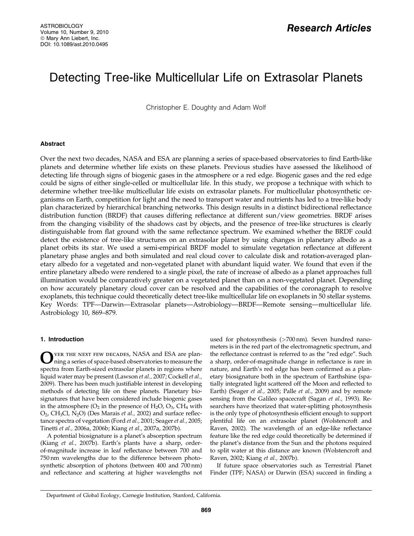# Detecting Tree-like Multicellular Life on Extrasolar Planets

Christopher E. Doughty and Adam Wolf

# Abstract

Over the next two decades, NASA and ESA are planning a series of space-based observatories to find Earth-like planets and determine whether life exists on these planets. Previous studies have assessed the likelihood of detecting life through signs of biogenic gases in the atmosphere or a red edge. Biogenic gases and the red edge could be signs of either single-celled or multicellular life. In this study, we propose a technique with which to determine whether tree-like multicellular life exists on extrasolar planets. For multicellular photosynthetic organisms on Earth, competition for light and the need to transport water and nutrients has led to a tree-like body plan characterized by hierarchical branching networks. This design results in a distinct bidirectional reflectance distribution function (BRDF) that causes differing reflectance at different sun/view geometries. BRDF arises from the changing visibility of the shadows cast by objects, and the presence of tree-like structures is clearly distinguishable from flat ground with the same reflectance spectrum. We examined whether the BRDF could detect the existence of tree-like structures on an extrasolar planet by using changes in planetary albedo as a planet orbits its star. We used a semi-empirical BRDF model to simulate vegetation reflectance at different planetary phase angles and both simulated and real cloud cover to calculate disk and rotation-averaged planetary albedo for a vegetated and non-vegetated planet with abundant liquid water. We found that even if the entire planetary albedo were rendered to a single pixel, the rate of increase of albedo as a planet approaches full illumination would be comparatively greater on a vegetated planet than on a non-vegetated planet. Depending on how accurately planetary cloud cover can be resolved and the capabilities of the coronagraph to resolve exoplanets, this technique could theoretically detect tree-like multicellular life on exoplanets in 50 stellar systems. Key Words: TPF—Darwin—Extrasolar planets—Astrobiology—BRDF—Remote sensing—multicellular life. Astrobiology 10, 869–879.

## 1. Introduction

OVER THE NEXT FEW DECADES, NASA and ESA are plan-<br>ning a series of space-based observatories to measure the spectra from Earth-sized extrasolar planets in regions where liquid water may be present (Lawson et al., 2007; Cockell et al., 2009). There has been much justifiable interest in developing methods of detecting life on these planets. Planetary biosignatures that have been considered include biogenic gases in the atmosphere  $(O_2$  in the presence of  $H_2O$ ,  $O_3$ ,  $CH_4$  with  $O_2$ , CH<sub>3</sub>Cl, N<sub>2</sub>O) (Des Marais *et al.*, 2002) and surface reflectance spectra of vegetation (Ford et al., 2001; Seager et al., 2005; Tinetti et al., 2006a, 2006b; Kiang et al., 2007a, 2007b).

A potential biosignature is a planet's absorption spectrum (Kiang et al., 2007b). Earth's plants have a sharp, orderof-magnitude increase in leaf reflectance between 700 and 750 nm wavelengths due to the difference between photosynthetic absorption of photons (between 400 and 700 nm) and reflectance and scattering at higher wavelengths not

used for photosynthesis (>700 nm). Seven hundred nanometers is in the red part of the electromagnetic spectrum, and the reflectance contrast is referred to as the ''red edge''. Such a sharp, order-of-magnitude change in reflectance is rare in nature, and Earth's red edge has been confirmed as a planetary biosignature both in the spectrum of Earthshine (spatially integrated light scattered off the Moon and reflected to Earth) (Seager et al., 2005; Palle et al., 2009) and by remote sensing from the Galileo spacecraft (Sagan et al., 1993). Researchers have theorized that water-splitting photosynthesis is the only type of photosynthesis efficient enough to support plentiful life on an extrasolar planet (Wolstencroft and Raven, 2002). The wavelength of an edge-like reflectance feature like the red edge could theoretically be determined if the planet's distance from the Sun and the photons required to split water at this distance are known (Wolstencroft and Raven, 2002; Kiang et al., 2007b).

If future space observatories such as Terrestrial Planet Finder (TPF; NASA) or Darwin (ESA) succeed in finding a

Department of Global Ecology, Carnegie Institution, Stanford, California.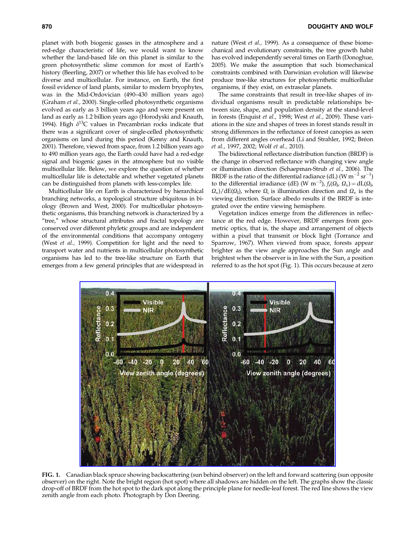planet with both biogenic gasses in the atmosphere and a red-edge characteristic of life, we would want to know whether the land-based life on this planet is similar to the green photosynthetic slime common for most of Earth's history (Beerling, 2007) or whether this life has evolved to be diverse and multicellular. For instance, on Earth, the first fossil evidence of land plants, similar to modern bryophytes, was in the Mid-Ordovician (490–430 million years ago) (Graham et al., 2000). Single-celled photosynthetic organisms evolved as early as 3 billion years ago and were present on land as early as 1.2 billion years ago (Horodyski and Knauth, 1994). High  $\delta^{13}C$  values in Precambrian rocks indicate that there was a significant cover of single-celled photosynthetic organisms on land during this period (Kenny and Knauth, 2001). Therefore, viewed from space, from 1.2 billion years ago to 490 million years ago, the Earth could have had a red-edge signal and biogenic gases in the atmosphere but no visible multicellular life. Below, we explore the question of whether multicellular life is detectable and whether vegetated planets can be distinguished from planets with less-complex life.

Multicellular life on Earth is characterized by hierarchical branching networks, a topological structure ubiquitous in biology (Brown and West, 2000). For multicellular photosynthetic organisms, this branching network is characterized by a ''tree,'' whose structural attributes and fractal topology are conserved over different phyletic groups and are independent of the environmental conditions that accompany ontogeny (West et al., 1999). Competition for light and the need to transport water and nutrients in multicellular photosynthetic organisms has led to the tree-like structure on Earth that emerges from a few general principles that are widespread in nature (West et al., 1999). As a consequence of these biomechanical and evolutionary constraints, the tree growth habit has evolved independently several times on Earth (Donoghue, 2005). We make the assumption that such biomechanical constraints combined with Darwinian evolution will likewise produce tree-like structures for photosynthetic multicellular organisms, if they exist, on extrasolar planets.

The same constraints that result in tree-like shapes of individual organisms result in predictable relationships between size, shape, and population density at the stand-level in forests (Enquist et al., 1998; West et al., 2009). These variations in the size and shapes of trees in forest stands result in strong differences in the reflectance of forest canopies as seen from different angles overhead (Li and Strahler, 1992; Bréon et al., 1997, 2002; Wolf et al., 2010).

The bidirectional reflectance distribution function (BRDF) is the change in observed reflectance with changing view angle or illumination direction (Schaepman-Strub et al., 2006). The BRDF is the ratio of the differential radiance (dL) (W  $m^{-2}$  sr<sup>-1</sup>) to the differential irradiance (dE) (W m<sup>-2</sup>),  $f_r(\Omega_L \Omega_v) = dL(\Omega_L)$  $\Omega_{\rm v}/\text{dE}(\Omega_{\rm I})$ , where  $\Omega_{\rm i}$  is illumination direction and  $\Omega_{\rm v}$  is the viewing direction. Surface albedo results if the BRDF is integrated over the entire viewing hemisphere.

Vegetation indices emerge from the differences in reflectance at the red edge. However, BRDF emerges from geometric optics, that is, the shape and arrangement of objects within a pixel that transmit or block light (Torrance and Sparrow, 1967). When viewed from space, forests appear brighter as the view angle approaches the Sun angle and brightest when the observer is in line with the Sun, a position referred to as the hot spot (Fig. 1). This occurs because at zero



FIG. 1. Canadian black spruce showing backscattering (sun behind observer) on the left and forward scattering (sun opposite observer) on the right. Note the bright region (hot spot) where all shadows are hidden on the left. The graphs show the classic drop-off of BRDF from the hot spot to the dark spot along the principle plane for needle-leaf forest. The red line shows the view zenith angle from each photo. Photograph by Don Deering.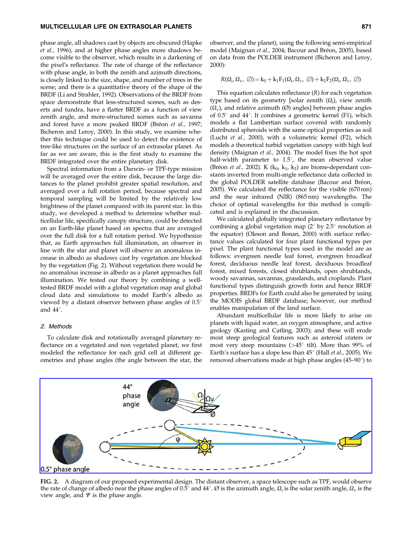## MULTICELLULAR LIFE ON EXTRASOLAR PLANETS **871 1999 IN EXECUTABLE 1999 IN EXAMPLE 2014**

phase angle, all shadows cast by objects are obscured (Hapke et al., 1996), and at higher phase angles more shadows become visible to the observer, which results in a darkening of the pixel's reflectance. The rate of change of the reflectance with phase angle, in both the zenith and azimuth directions, is closely linked to the size, shape, and number of trees in the scene; and there is a quantitative theory of the shape of the BRDF (Li and Strahler, 1992). Observations of the BRDF from space demonstrate that less-structured scenes, such as deserts and tundra, have a flatter BRDF as a function of view zenith angle, and more-structured scenes such as savanna and forest have a more peaked BRDF (Bréon et al., 1997; Bicheron and Leroy, 2000). In this study, we examine whether this technique could be used to detect the existence of tree-like structures on the surface of an extrasolar planet. As far as we are aware, this is the first study to examine the BRDF integrated over the entire planetary disk.

Spectral information from a Darwin- or TPF-type mission will be averaged over the entire disk, because the large distances to the planet prohibit greater spatial resolution, and averaged over a full rotation period, because spectral and temporal sampling will be limited by the relatively low brightness of the planet compared with its parent star. In this study, we developed a method to determine whether multicellular life, specifically canopy structure, could be detected on an Earth-like planet based on spectra that are averaged over the full disk for a full rotation period. We hypothesize that, as Earth approaches full illumination, an observer in line with the star and planet will observe an anomalous increase in albedo as shadows cast by vegetation are blocked by the vegetation (Fig. 2). Without vegetation there would be no anomalous increase in albedo as a planet approaches full illumination. We tested our theory by combining a welltested BRDF model with a global vegetation map and global cloud data and simulations to model Earth's albedo as viewed by a distant observer between phase angles of  $0.5^{\circ}$ and  $44^\circ$ .

#### 2. Methods

To calculate disk and rotationally averaged planetary reflectance on a vegetated and non vegetated planet, we first modeled the reflectance for each grid cell at different geometries and phase angles (the angle between the star, the observer, and the planet), using the following semi-empirical model (Maignan et al., 2004; Bacour and Bréon, 2005), based on data from the POLDER instrument (Bicheron and Leroy, 2000):

$$
R(\Omega_{\rm i},\Omega_{\rm v},\varnothing)=k_0+k_1F_1(\Omega_{\rm i},\Omega_{\rm v},\varnothing)+k_2F_2(\Omega_{\rm i},\Omega_{\rm v},\varnothing)
$$

This equation calculates reflectance  $(R)$  for each vegetation type based on its geometry [solar zenith  $(Q_i)$ , view zenith  $(\Omega_{\rm v})$ , and relative azimuth  $(\emptyset)$  angles] between phase angles of  $0.5^{\circ}$  and  $44^{\circ}$ . It combines a geometric kernel (F1), which models a flat Lambertian surface covered with randomly distributed spheroids with the same optical properties as soil (Lucht et al., 2000), with a volumetric kernel (F2), which models a theoretical turbid vegetation canopy with high leaf density (Maignan et al., 2004). The model fixes the hot spot half-width parameter to  $1.5^{\circ}$ , the mean observed value (Bréon et al., 2002). K ( $k_0$ ,  $k_1$ ,  $k_2$ ) are biome-dependant constants inverted from multi-angle reflectance data collected in the global POLDER satellite database (Bacour and Bréon, 2005). We calculated the reflectance for the visible (670 nm) and the near infrared (NIR) (865 nm) wavelengths. The choice of optimal wavelengths for this method is complicated and is explained in the discussion.

We calculated globally integrated planetary reflectance by combining a global vegetation map  $(2^{\circ}$  by  $2.5^{\circ}$  resolution at the equator) (Oleson and Bonan, 2000) with surface reflectance values calculated for four plant functional types per pixel. The plant functional types used in the model are as follows: evergreen needle leaf forest, evergreen broadleaf forest, deciduous needle leaf forest, deciduous broadleaf forest, mixed forests, closed shrublands, open shrublands, woody savannas, savannas, grasslands, and croplands. Plant functional types distinguish growth form and hence BRDF properties. BRDFs for Earth could also be generated by using the MODIS global BRDF database; however, our method enables manipulation of the land surface.

Abundant multicellular life is more likely to arise on planets with liquid water, an oxygen atmosphere, and active geology (Kasting and Catling, 2003); and these will erode most steep geological features such as asteroid craters or most very steep mountains ( $>45^{\circ}$  tilt). More than 99% of Earth's surface has a slope less than  $45^{\circ}$  (Hall et al., 2005). We removed observations made at high phase angles (45–90°) to



FIG. 2. A diagram of our proposed experimental design. The distant observer, a space telescope such as TPF, would observe the rate of change of albedo near the phase angles of 0.5° and 44°. Ø is the azimuth angle,  $\Omega_i$  is the solar zenith angle,  $\Omega_v$  is the view angle, and  $\Psi$  is the phase angle.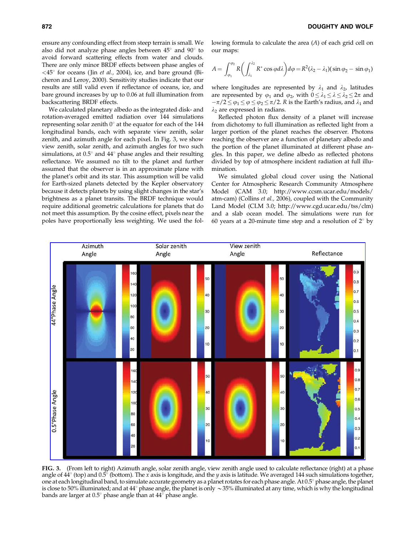ensure any confounding effect from steep terrain is small. We also did not analyze phase angles between  $45^{\circ}$  and  $90^{\circ}$  to avoid forward scattering effects from water and clouds. There are only minor BRDF effects between phase angles of  $\langle 45^\circ$  for oceans (Jin *et al.,* 2004), ice, and bare ground (Bicheron and Leroy, 2000). Sensitivity studies indicate that our results are still valid even if reflectance of oceans, ice, and bare ground increases by up to 0.06 at full illumination from backscattering BRDF effects.

We calculated planetary albedo as the integrated disk- and rotation-averaged emitted radiation over 144 simulations representing solar zenith  $0^{\circ}$  at the equator for each of the 144 longitudinal bands, each with separate view zenith, solar zenith, and azimuth angle for each pixel. In Fig. 3, we show view zenith, solar zenith, and azimuth angles for two such simulations, at  $0.5^{\circ}$  and  $44^{\circ}$  phase angles and their resulting reflectance. We assumed no tilt to the planet and further assumed that the observer is in an approximate plane with the planet's orbit and its star. This assumption will be valid for Earth-sized planets detected by the Kepler observatory because it detects planets by using slight changes in the star's brightness as a planet transits. The BRDF technique would require additional geometric calculations for planets that do not meet this assumption. By the cosine effect, pixels near the poles have proportionally less weighting. We used the following formula to calculate the area (A) of each grid cell on our maps:

$$
A = \int_{\varphi_1}^{\varphi_2} R\left(\int_{\lambda_1}^{\lambda_2} R^* \cos \varphi d\lambda\right) d\varphi = R^2(\lambda_2 - \lambda_1)(\sin \varphi_2 - \sin \varphi_1)
$$

where longitudes are represented by  $\lambda_1$  and  $\lambda_2$ , latitudes are represented by  $\varphi_1$  and  $\varphi_2$ , with  $0 \leq \lambda_1 \leq \lambda \leq \lambda_2 \leq 2\pi$  and  $-\pi/2 \leq \varphi_1 \leq \varphi \leq \varphi_2 \leq \pi/2$ . *R* is the Earth's radius, and  $\lambda_1$  and  $\lambda_2$  are expressed in radians.

Reflected photon flux density of a planet will increase from dichotomy to full illumination as reflected light from a larger portion of the planet reaches the observer. Photons reaching the observer are a function of planetary albedo and the portion of the planet illuminated at different phase angles. In this paper, we define albedo as reflected photons divided by top of atmosphere incident radiation at full illumination.

We simulated global cloud cover using the National Center for Atmospheric Research Community Atmosphere Model (CAM 3.0; http://www.ccsm.ucar.edu/models/ atm-cam) (Collins et al., 2006), coupled with the Community Land Model (CLM 3.0; http://www.cgd.ucar.edu/tss/clm) and a slab ocean model. The simulations were run for 60 years at a 20-minute time step and a resolution of  $2^{\circ}$  by



FIG. 3. (From left to right) Azimuth angle, solar zenith angle, view zenith angle used to calculate reflectance (right) at a phase angle of  $44^\circ$  (top) and 0.5° (bottom). The x axis is longitude, and the y axis is latitude. We averaged 144 such simulations together, one at each longitudinal band, to simulate accurate geometry as a planet rotates for each phase angle. At  $0.5^\circ$  phase angle, the planet is close to 50% illuminated; and at  $44^{\circ}$  phase angle, the planet is only  $\sim$  35% illuminated at any time, which is why the longitudinal bands are larger at  $0.5^{\circ}$  phase angle than at  $44^{\circ}$  phase angle.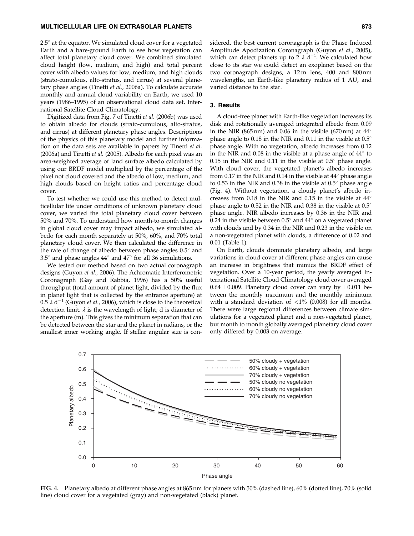# MULTICELLULAR LIFE ON EXTRASOLAR PLANETS **STARING A SEXUAL EXECUTIVE STARING STAR**

 $2.5^\circ$  at the equator. We simulated cloud cover for a vegetated Earth and a bare-ground Earth to see how vegetation can affect total planetary cloud cover. We combined simulated cloud height (low, medium, and high) and total percent cover with albedo values for low, medium, and high clouds (strato-cumulous, alto-stratus, and cirrus) at several planetary phase angles (Tinetti et al., 2006a). To calculate accurate monthly and annual cloud variability on Earth, we used 10 years (1986–1995) of an observational cloud data set, International Satellite Cloud Climatology.

Digitized data from Fig. 7 of Tinetti et al. (2006b) was used to obtain albedo for clouds (strato-cumulous, alto-stratus, and cirrus) at different planetary phase angles. Descriptions of the physics of this planetary model and further information on the data sets are available in papers by Tinetti et al. (2006a) and Tinetti et al. (2005). Albedo for each pixel was an area-weighted average of land surface albedo calculated by using our BRDF model multiplied by the percentage of the pixel not cloud covered and the albedo of low, medium, and high clouds based on height ratios and percentage cloud cover.

To test whether we could use this method to detect multicellular life under conditions of unknown planetary cloud cover, we varied the total planetary cloud cover between 50% and 70%. To understand how month-to-month changes in global cloud cover may impact albedo, we simulated albedo for each month separately at 50%, 60%, and 70% total planetary cloud cover. We then calculated the difference in the rate of change of albedo between phase angles  $0.5^{\circ}$  and  $3.5^{\circ}$  and phase angles  $44^{\circ}$  and  $47^{\circ}$  for all 36 simulations.

We tested our method based on two actual coronagraph designs (Guyon et al., 2006). The Achromatic Interferometric Coronagraph (Gay and Rabbia, 1996) has a 50% useful throughput (total amount of planet light, divided by the flux in planet light that is collected by the entrance aperture) at  $0.5 \lambda$  d<sup>-1</sup> (Guyon *et al.*, 2006), which is close to the theoretical detection limit.  $\lambda$  is the wavelength of light; d is diameter of the aperture (m). This gives the minimum separation that can be detected between the star and the planet in radians, or the smallest inner working angle. If stellar angular size is considered, the best current coronagraph is the Phase Induced Amplitude Apodization Coronagraph (Guyon et al., 2005), which can detect planets up to  $2 \lambda d^{-1}$ . We calculated how close to its star we could detect an exoplanet based on the two coronagraph designs, a 12 m lens, 400 and 800 nm wavelengths, an Earth-like planetary radius of 1 AU, and varied distance to the star.

# 3. Results

A cloud-free planet with Earth-like vegetation increases its disk and rotationally averaged integrated albedo from 0.09 in the NIR (865 nm) and 0.06 in the visible (670 nm) at  $44^{\circ}$ phase angle to 0.18 in the NIR and 0.11 in the visible at  $0.5^{\circ}$ phase angle. With no vegetation, albedo increases from 0.12 in the NIR and 0.08 in the visible at a phase angle of  $44^{\circ}$  to 0.15 in the NIR and 0.11 in the visible at  $0.5^{\circ}$  phase angle. With cloud cover, the vegetated planet's albedo increases from 0.17 in the NIR and 0.14 in the visible at  $44^{\circ}$  phase angle to 0.53 in the NIR and 0.38 in the visible at  $0.5^{\circ}$  phase angle (Fig. 4). Without vegetation, a cloudy planet's albedo increases from 0.18 in the NIR and 0.15 in the visible at  $44^{\circ}$ phase angle to 0.52 in the NIR and 0.38 in the visible at  $0.5^{\circ}$ phase angle. NIR albedo increases by 0.36 in the NIR and 0.24 in the visible between  $0.5^{\circ}$  and  $44^{\circ}$  on a vegetated planet with clouds and by 0.34 in the NIR and 0.23 in the visible on a non-vegetated planet with clouds, a difference of 0.02 and 0.01 (Table 1).

On Earth, clouds dominate planetary albedo, and large variations in cloud cover at different phase angles can cause an increase in brightness that mimics the BRDF effect of vegetation. Over a 10-year period, the yearly averaged International Satellite Cloud Climatology cloud cover averaged  $0.64 \pm 0.009$ . Planetary cloud cover can vary by  $\pm 0.011$  between the monthly maximum and the monthly minimum with a standard deviation of  $\langle 1\% (0.008)$  for all months. There were large regional differences between climate simulations for a vegetated planet and a non-vegetated planet, but month to month globally averaged planetary cloud cover only differed by 0.003 on average.



FIG. 4. Planetary albedo at different phase angles at 865 nm for planets with 50% (dashed line), 60% (dotted line), 70% (solid line) cloud cover for a vegetated (gray) and non-vegetated (black) planet.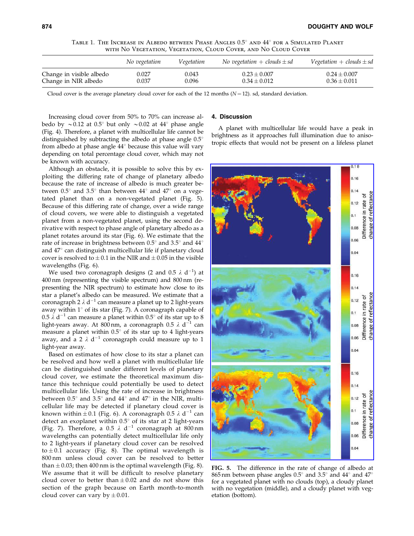TABLE 1. THE INCREASE IN ALBEDO BETWEEN PHASE ANGLES 0.5° AND 44° FOR A SIMULATED PLANET with No Vegetation, Vegetation, Cloud Cover, and No Cloud Cover

|                          | No vegetation | Vegetation | No vegetation $+$ clouds $\pm$ sd | Vegetation $+$ clouds $\pm$ sd |
|--------------------------|---------------|------------|-----------------------------------|--------------------------------|
| Change in visible albedo | 0.027         | 0.043      | $0.23 + 0.007$                    | $0.24 \pm 0.007$               |
| Change in NIR albedo     | 0.037         | 0.096      | $0.34 + 0.012$                    | $0.36 + 0.011$                 |

Cloud cover is the average planetary cloud cover for each of the 12 months  $(N = 12)$ . sd, standard deviation.

Increasing cloud cover from 50% to 70% can increase albedo by  $\sim$  0.12 at 0.5° but only  $\sim$  0.02 at 44° phase angle (Fig. 4). Therefore, a planet with multicellular life cannot be distinguished by subtracting the albedo at phase angle  $0.5^{\circ}$ from albedo at phase angle  $44^\circ$  because this value will vary depending on total percentage cloud cover, which may not be known with accuracy.

Although an obstacle, it is possible to solve this by exploiting the differing rate of change of planetary albedo because the rate of increase of albedo is much greater between  $0.5^{\circ}$  and  $3.5^{\circ}$  than between  $44^{\circ}$  and  $47^{\circ}$  on a vegetated planet than on a non-vegetated planet (Fig. 5). Because of this differing rate of change, over a wide range of cloud covers, we were able to distinguish a vegetated planet from a non-vegetated planet, using the second derivative with respect to phase angle of planetary albedo as a planet rotates around its star (Fig. 6). We estimate that the rate of increase in brightness between  $0.5^{\circ}$  and  $3.5^{\circ}$  and  $44^{\circ}$ and  $47^{\circ}$  can distinguish multicellular life if planetary cloud cover is resolved to  $\pm$  0.1 in the NIR and  $\pm$  0.05 in the visible wavelengths (Fig. 6).

We used two coronagraph designs (2 and 0.5  $\lambda$  d<sup>-1</sup>) at 400 nm (representing the visible spectrum) and 800 nm (representing the NIR spectrum) to estimate how close to its star a planet's albedo can be measured. We estimate that a coronagraph 2  $\lambda$  d<sup>-1</sup> can measure a planet up to 2 light-years away within  $1^\circ$  of its star (Fig. 7). A coronagraph capable of 0.5  $\lambda$  d<sup>-1</sup> can measure a planet within 0.5° of its star up to 8 light-years away. At 800 nm, a coronagraph 0.5  $\lambda$  d<sup>-1</sup> can measure a planet within  $0.5^{\circ}$  of its star up to 4 light-years away, and a 2  $\lambda$  d<sup>-1</sup> coronagraph could measure up to 1 light-year away.

Based on estimates of how close to its star a planet can be resolved and how well a planet with multicellular life can be distinguished under different levels of planetary cloud cover, we estimate the theoretical maximum distance this technique could potentially be used to detect multicellular life. Using the rate of increase in brightness between  $0.5^{\circ}$  and  $3.5^{\circ}$  and  $44^{\circ}$  and  $47^{\circ}$  in the NIR, multicellular life may be detected if planetary cloud cover is known within  $\pm 0.1$  (Fig. 6). A coronagraph 0.5  $\lambda$  d<sup>-1</sup> can detect an exoplanet within  $0.5^{\circ}$  of its star at 2 light-years (Fig. 7). Therefore, a 0.5  $\lambda$  d<sup>-1</sup> coronagraph at 800 nm wavelengths can potentially detect multicellular life only to 2 light-years if planetary cloud cover can be resolved to  $\pm$  0.1 accuracy (Fig. 8). The optimal wavelength is 800 nm unless cloud cover can be resolved to better than  $\pm$  0.03; then 400 nm is the optimal wavelength (Fig. 8). We assume that it will be difficult to resolve planetary cloud cover to better than  $\pm 0.02$  and do not show this section of the graph because on Earth month-to-month cloud cover can vary by  $\pm 0.01$ .

# 4. Discussion

A planet with multicellular life would have a peak in brightness as it approaches full illumination due to anisotropic effects that would not be present on a lifeless planet



FIG. 5. The difference in the rate of change of albedo at 865 nm between phase angles  $0.5^{\circ}$  and  $3.5^{\circ}$  and  $44^{\circ}$  and  $47^{\circ}$ for a vegetated planet with no clouds (top), a cloudy planet with no vegetation (middle), and a cloudy planet with vegetation (bottom).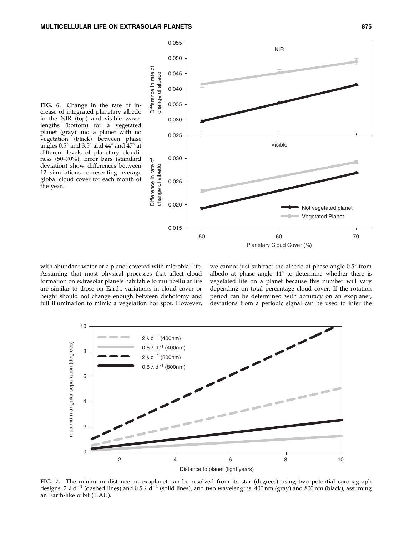



with abundant water or a planet covered with microbial life. Assuming that most physical processes that affect cloud formation on extrasolar planets habitable to multicellular life are similar to those on Earth, variations in cloud cover or height should not change enough between dichotomy and full illumination to mimic a vegetation hot spot. However, we cannot just subtract the albedo at phase angle  $0.5^{\circ}$  from albedo at phase angle  $44^{\circ}$  to determine whether there is vegetated life on a planet because this number will vary depending on total percentage cloud cover. If the rotation period can be determined with accuracy on an exoplanet, deviations from a periodic signal can be used to infer the



FIG. 7. The minimum distance an exoplanet can be resolved from its star (degrees) using two potential coronagraph designs, 2  $\lambda$  d<sup>-1</sup> (dashed lines) and 0.5  $\lambda$  d<sup>-1</sup> (solid lines), and two wavelengths, 400 nm (gray) and 800 nm (black), assuming an Earth-like orbit (1 AU).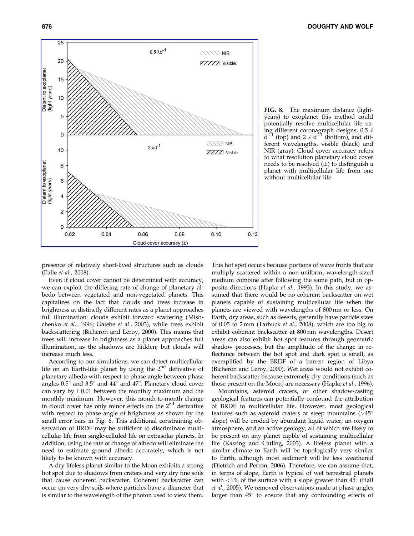

FIG. 8. The maximum distance (lightyears) to exoplanet this method could potentially resolve multicellular life using different coronagraph designs,  $0.5 \lambda$  $d^{-1}$  (top) and 2  $\lambda$   $d^{-1}$  (bottom), and different wavelengths, visible (black) and NIR (gray). Cloud cover accuracy refers to what resolution planetary cloud cover needs to be resolved  $(\pm)$  to distinguish a planet with multicellular life from one without multicellular life.

presence of relatively short-lived structures such as clouds (Palle et al., 2008).

Even if cloud cover cannot be determined with accuracy, we can exploit the differing rate of change of planetary albedo between vegetated and non-vegetated planets. This capitalizes on the fact that clouds and trees increase in brightness at distinctly different rates as a planet approaches full illumination: clouds exhibit forward scattering (Mishchenko et al., 1996; Gatebe et al., 2003), while trees exhibit backscattering (Bicheron and Leroy, 2000). This means that trees will increase in brightness as a planet approaches full illumination, as the shadows are hidden; but clouds will increase much less.

According to our simulations, we can detect multicellular life on an Earth-like planet by using the  $2<sup>nd</sup>$  derivative of planetary albedo with respect to phase angle between phase angles  $0.5^{\circ}$  and  $3.5^{\circ}$  and  $44^{\circ}$  and  $47^{\circ}$ . Planetary cloud cover can vary  $by \pm 0.01$  between the monthly maximum and the monthly minimum. However, this month-to-month change in cloud cover has only minor effects on the  $2<sup>nd</sup>$  derivative with respect to phase angle of brightness as shown by the small error bars in Fig. 6. This additional constraining observation of BRDF may be sufficient to discriminate multicellular life from single-celluled life on extrasolar planets. In addition, using the rate of change of albedo will eliminate the need to estimate ground albedo accurately, which is not likely to be known with accuracy.

A dry lifeless planet similar to the Moon exhibits a strong hot spot due to shadows from craters and very dry fine soils that cause coherent backscatter. Coherent backscatter can occur on very dry soils where particles have a diameter that is similar to the wavelength of the photon used to view them. This hot spot occurs because portions of wave fronts that are multiply scattered within a non-uniform, wavelength-sized medium combine after following the same path, but in opposite directions (Hapke et al., 1993). In this study, we assumed that there would be no coherent backscatter on wet planets capable of sustaining multicellular life when the planets are viewed with wavelengths of 800 nm or less. On Earth, dry areas, such as deserts, generally have particle sizes of 0.05 to 2 mm (Tarbuck et al., 2008), which are too big to exhibit coherent backscatter at 800 nm wavelengths. Desert areas can also exhibit hot spot features through geometric shadow processes, but the amplitude of the change in reflectance between the hot spot and dark spot is small, as exemplified by the BRDF of a barren region of Libya (Bicheron and Leroy, 2000). Wet areas would not exhibit coherent backscatter because extremely dry conditions (such as those present on the Moon) are necessary (Hapke et al., 1996).

Mountains, asteroid craters, or other shadow-casting geological features can potentially confound the attribution of BRDF to multicellular life. However, most geological features such as asteroid craters or steep mountains  $($ >45 $^{\circ}$ slope) will be eroded by abundant liquid water, an oxygen atmosphere, and an active geology, all of which are likely to be present on any planet capble of sustaining multicellular life (Kasting and Catling, 2003). A lifeless planet with a similar climate to Earth will be topologically very similar to Earth, although most sediment will be less weathered (Dietrich and Perron, 2006). Therefore, we can assume that, in terms of slope, Earth is typical of wet terrestrial planets with  $\langle 1\%$  of the surface with a slope greater than  $45^{\circ}$  (Hall et al., 2005). We removed observations made at phase angles larger than  $45^\circ$  to ensure that any confounding effects of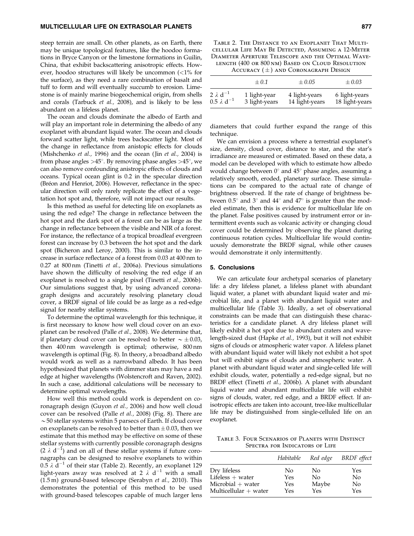# MULTICELLULAR LIFE ON EXTRASOLAR PLANETS AND RESERVE THE STRAINING STRAINING STRAINING STRAINING STR

steep terrain are small. On other planets, as on Earth, there may be unique topological features, like the hoodoo formations in Bryce Canyon or the limestone formations in Guilin, China, that exhibit backscattering anisotropic effects. However, hoodoo structures will likely be uncommon (<1% for the surface), as they need a rare combination of basalt and tuff to form and will eventually succumb to erosion. Limestone is of mainly marine biogeochemical origin, from shells and corals (Tarbuck et al., 2008), and is likely to be less abundant on a lifeless planet.

The ocean and clouds dominate the albedo of Earth and will play an important role in determining the albedo of any exoplanet with abundant liquid water. The ocean and clouds forward scatter light, while trees backscatter light. Most of the change in reflectance from anistopic effects for clouds (Mishchenko et al., 1996) and the ocean (Jin et al., 2004) is from phase angles  $>45^{\circ}$ . By removing phase angles  $>45^{\circ}$ , we can also remove confounding anistropic effects of clouds and oceans. Typical ocean glint is 0.2 in the specular direction (Bréon and Henriot, 2006). However, reflectance in the specular direction will only rarely replicate the effect of a vegetation hot spot and, therefore, will not impact our results.

Is this method as useful for detecting life on exoplanets as using the red edge? The change in reflectance between the hot spot and the dark spot of a forest can be as large as the change in reflectance between the visible and NIR of a forest. For instance, the reflectance of a tropical broadleaf evergreen forest can increase by 0.3 between the hot spot and the dark spot (Bicheron and Leroy, 2000). This is similar to the increase in surface reflectance of a forest from 0.03 at 400 nm to 0.27 at 800 nm (Tinetti et al., 2006a). Previous simulations have shown the difficulty of resolving the red edge if an exoplanet is resolved to a single pixel (Tinetti et al., 2006b). Our simulations suggest that, by using advanced coronagraph designs and accurately resolving planetary cloud cover, a BRDF signal of life could be as large as a red-edge signal for nearby stellar systems.

To determine the optimal wavelength for this technique, it is first necessary to know how well cloud cover on an exoplanet can be resolved (Palle et al., 2008). We determine that, if planetary cloud cover can be resolved to better  $\sim \pm 0.03$ , then 400 nm wavelength is optimal; otherwise, 800 nm wavelength is optimal (Fig. 8). In theory, a broadband albedo would work as well as a narrowband albedo. It has been hypothesized that planets with dimmer stars may have a red edge at higher wavelengths (Wolstencroft and Raven, 2002). In such a case, additional calculations will be necessary to determine optimal wavelengths.

How well this method could work is dependent on coronagraph design (Guyon et al., 2006) and how well cloud cover can be resolved (Palle et al., 2008) (Fig. 8). There are  $\sim$  50 stellar systems within 5 parsecs of Earth. If cloud cover on exoplanets can be resolved to better than  $\pm$  0.03, then we estimate that this method may be effective on some of these stellar systems with currently possible coronagraph designs  $(2 \lambda d^{-1})$  and on all of these stellar systems if future coronagraphs can be designed to resolve exoplanets to within  $0.5$   $\lambda$   $d^{-1}$  of their star (Table 2). Recently, an exoplanet 129 light-years away was resolved at 2  $\lambda$  d<sup>-1</sup> with a small (1.5 m) ground-based telescope (Serabyn et al., 2010). This demonstrates the potential of this method to be used with ground-based telescopes capable of much larger lens

Table 2. The Distance to an Exoplanet That Multicellular Life May Be Detected, Assuming a 12-Meter Diameter Aperture Telescope and the Optimal Wavelength (400 or 800nm) Based on Cloud Resolution

ACCURACY  $(\pm)$  and Coronagraph Design

|                      | $+0.1$        | $\pm 0.05$     | $\pm 0.03$     |
|----------------------|---------------|----------------|----------------|
| $2 \lambda d^{-1}$   | 1 light-year  | 4 light-years  | 6 light-years  |
| $0.5 \lambda d^{-1}$ | 3 light-years | 14 light-years | 18 light-years |

diameters that could further expand the range of this technique.

We can envision a process where a terrestrial exoplanet's size, density, cloud cover, distance to star, and the star's irradiance are measured or estimated. Based on these data, a model can be developed with which to estimate how albedo would change between  $0^{\circ}$  and  $45^{\circ}$  phase angles, assuming a relatively smooth, eroded, planetary surface. These simulations can be compared to the actual rate of change of brightness observed. If the rate of change of brightness between  $0.5^{\circ}$  and  $3^{\circ}$  and  $44^{\circ}$  and  $47^{\circ}$  is greater than the modeled estimate, then this is evidence for multicellular life on the planet. False positives caused by instrument error or intermittent events such as volcanic activity or changing cloud cover could be determined by observing the planet during continuous rotation cycles. Multicellular life would continuously demonstrate the BRDF signal, while other causes would demonstrate it only intermittently.

#### 5. Conclusions

We can articulate four archetypal scenarios of planetary life: a dry lifeless planet, a lifeless planet with abundant liquid water, a planet with abundant liquid water and microbial life, and a planet with abundant liquid water and multicellular life (Table 3). Ideally, a set of observational constraints can be made that can distinguish these characteristics for a candidate planet. A dry lifeless planet will likely exhibit a hot spot due to abundant craters and wavelength-sized dust (Hapke et al., 1993), but it will not exhibit signs of clouds or atmospheric water vapor. A lifeless planet with abundant liquid water will likely not exhibit a hot spot but will exhibit signs of clouds and atmospheric water. A planet with abundant liquid water and single-celled life will exhibit clouds, water, potentially a red-edge signal, but no BRDF effect (Tinetti et al., 2006b). A planet with abundant liquid water and abundant multicellular life will exhibit signs of clouds, water, red edge, and a BRDF effect. If anisotropic effects are taken into account, tree-like multicellular life may be distinguished from single-celluled life on an exoplanet.

Table 3. Four Scenarios of Planets with Distinct Spectra for Indicators of Life

|                                                                                                                                             | <b>BRDF</b> effect     | Habitable<br>Red edge |
|---------------------------------------------------------------------------------------------------------------------------------------------|------------------------|-----------------------|
| Dry lifeless<br>No<br>No<br>Lifeless $+$ water<br>Yes<br>No<br>$Microbial + water$<br>Maybe<br>Yes<br>Yes<br>Multicellular $+$ water<br>Yes | Yes<br>No<br>No<br>Yes |                       |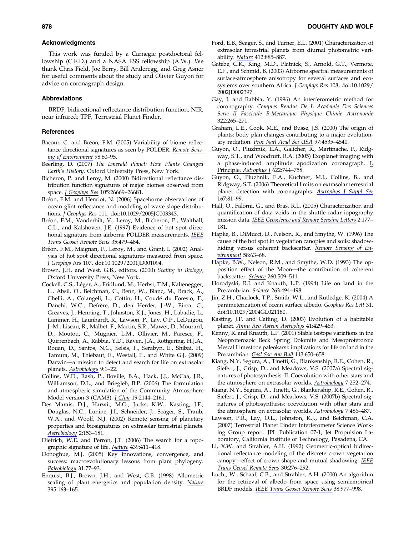#### Acknowledgments

This work was funded by a Carnegie postdoctoral fellowship (C.E.D.) and a NASA ESS fellowship (A.W.). We thank Chris Field, Joe Berry, Bill Anderegg, and Greg Asner for useful comments about the study and Olivier Guyon for advice on coronagraph design.

# Abbreviations

BRDF, bidirectional reflectance distribution function; NIR, near infrared; TPF, Terrestrial Planet Finder.

### References

- Bacour, C. and Bréon, F.M. (2005) Variability of biome reflectance directional signatures as seen by POLDER. Remote Sensing of Environment 98:80–95.
- Beerling, D. (2007) The Emerald Planet: How Plants Changed Earth's History, Oxford University Press, New York.
- Bicheron, P. and Leroy, M. (2000) Bidirectional reflectance distribution function signatures of major biomes observed from space. *J Geophys Res* 105:26669-26681.
- Bréon, F.M. and Henriot, N. (2006) Spaceborne observations of ocean glint reflectance and modeling of wave slope distributions. J Geophys Res 111, doi:10.1029/2005JC003343.
- Bréon, F.M., Vanderbilt, V., Leroy, M., Bicheron, P., Walthall, C.L., and Kalshoven, J.E. (1997) Evidence of hot spot directional signature from airborne POLDER measurements. IEEE Trans Geosci Remote Sens 35:479–484.
- Bréon, F.M., Maignan, F., Leroy, M., and Grant, I. (2002) Analysis of hot spot directional signatures measured from space. J Geophys Res 107, doi:10.1029/2001JD001094.
- Brown, J.H. and West, G.B., editors. (2000) Scaling in Biology, Oxford University Press, New York.
- Cockell, C.S., Léger, A., Fridlund, M., Herbst, T.M., Kaltenegger, L., Absil, O., Beichman, C., Benz, W., Blanc, M., Brack, A., Chelli, A., Colangeli, L., Cottin, H., Coude´ du Foresto, F., Danchi, W.C., Defrère, D., den Herder, J.-W., Eiroa, C., Greaves, J., Henning, T., Johnston, K.J., Jones, H., Labadie, L., Lammer, H., Launhardt, R., Lawson, P., Lay, O.P., LeDuigou, J.-M., Liseau, R., Malbet, F., Martin, S.R., Mawet, D., Mourard, D., Moutou, C., Mugnier, L.M., Ollivier, M., Paresce, F., Quirrenbach, A., Rabbia, Y.D., Raven, J.A., Rottgering, H.J.A., Rouan, D., Santos, N.C., Selsis, F., Serabyn, E., Shibai, H., Tamura, M., Thiébaut, E., Westall, F., and White G.J. (2009) Darwin—a mission to detect and search for life on extrasolar planets. Astrobiology 9:1–22.
- Collins, W.D., Rash, P., Boville, B.A., Hack, J.J., McCaa, J.R., Williamson, D.L., and Briegleb, B.P. (2006) The formulation and atmospheric simulation of the Community Atmosphere Model version 3 (CAM3). *J Clim* 19:2144-2161.
- Des Marais, D.J., Harwit, M.O., Jucks, K.W., Kasting, J.F., Douglas, N.C., Lunine, J.I., Schneider, J., Seager, S., Traub, W.A., and Woolf, N.J. (2002) Remote sensing of planetary properties and biosignatures on extrasolar terrestrial planets. Astrobiology 2:153–181.
- Dietrich, W.E. and Perron, J.T. (2006) The search for a topographic signature of life. Nature 439:411–418.
- Donoghue, M.J. (2005) Key innovations, convergence, and success: macroevolutionary lessons from plant phylogeny. Paleobiology 31:77-93.
- Enquist, B.J., Brown, J.H., and West, G.B. (1998) Allometric scaling of plant energetics and population density. Nature 395:163–165.
- Ford, E.B., Seager, S., and Turner, E.L. (2001) Characterization of extrasolar terrestrial planets from diurnal photometric variability. Nature 412:885–887.
- Gatebe, C.K., King, M.D., Platnick, S., Arnold, G.T., Vermote, E.F., and Schmid, B. (2003) Airborne spectral measurements of surface-atmosphere anisotropy for several surfaces and ecosystems over southern Africa. J Geophys Res 108, doi:10.1029/ 2002JD002397.
- Gay, J. and Rabbia, Y. (1996) An interferometric method for coronography. Comptes Rendus De L Academie Des Sciences Serie II Fascicule B-Mecanique Physique Chimie Astronomie 322:265–271.
- Graham, L.E., Cook, M.E., and Busse, J.S. (2000) The origin of plants: body plan changes contributing to a major evolutionary radiation. Proc Natl Acad Sci USA 97:4535-4540.
- Guyon, O., Pluzhnik, E.A., Galicher, R., Martinache, F., Ridgway, S.T., and Woodruff, R.A. (2005) Exoplanet imaging with a phase-induced amplitude apodization coronagraph. I. Principle. Astrophys J 622:744-758.
- Guyon, O., Pluzhnik, E.A., Kuchner, M.J., Collins, B., and Ridgway, S.T. (2006) Theoretical limits on extrasolar terrestrial planet detection with coronagraphs. Astrophys J Suppl Ser 167:81–99.
- Hall, O., Falorni, G., and Bras, R.L. (2005) Characterization and quantification of data voids in the shuttle radar iopography mission data. IEEE Geoscience and Remote Sensing Letters 2:177– 181.
- Hapke, B., DiMucci, D., Nelson, R., and Smythe, W. (1996) The cause of the hot spot in vegetation canopies and soils: shadowhiding versus coherent backscatter. Remote Sensing of Environment 58:63–68.
- Hapke, B.W., Nelson, R.M., and Smythe, W.D. (1993) The opposition effect of the Moon—the contribution of coherent backscatter. Science 260:509–511.
- Horodyski, R.J. and Knauth, L.P. (1994) Life on land in the Precambrian. Science 263:494-498.
- Jin, Z.H., Charlock, T.P., Smith, W.L., and Rutledge, K. (2004) A parameterization of ocean surface albedo. Geophys Res Lett 31, doi:10.1029/2004GL021180.
- Kasting, J.F. and Catling, D. (2003) Evolution of a habitable planet. Annu Rev Astron Astrophys 41:429–463.
- Kenny, R. and Knauth, L.P. (2001) Stable isotope variations in the Neoproterozoic Beck Spring Dolomite and Mesoproterozoic Mescal Limestone paleokarst: implications for life on land in the Precambrian. Geol Soc Am Bull 113:650-658.
- Kiang, N.Y, Segura, A., Tinetti, G., Blankenship, R.E., Cohen, R., Siefert, J., Crisp, D., and Meadows, V.S. (2007a) Spectral signatures of photosynthesis. II. Coevolution with other stars and the atmosphere on extrasolar worlds. **Astrobiology** 7:252-274.
- Kiang, N.Y., Segura, A., Tinetti, G., Blankenship, R.E., Cohen, R., Siefert, J., Crisp, D., and Meadows, V.S. (2007b) Spectral signatures of photosynthesis: coevolution with other stars and the atmosphere on extrasolar worlds. Astrobiology 7:486–487.
- Lawson, P.R., Lay, O.L., Johnston, K.J., and Beichman, C.A. (2007) Terrestrial Planet Finder Interferometer Science Working Group report. JPL Publication 07-1, Jet Propulsion Laboratory, California Institute of Technology, Pasadena, CA.
- Li, X.W. and Strahler, A.H. (1992) Geometric-optical bidirectional reflectance modeling of the discrete crown vegetation canopy—effect of crown shape and mutual shadowing. IEEE Trans Geosci Remote Sens 30:276–292.
- Lucht, W., Schaaf, C.B., and Strahler, A.H. (2000) An algorithm for the retrieval of albedo from space using semiempirical BRDF models. IEEE Trans Geosci Remote Sens 38:977–998.